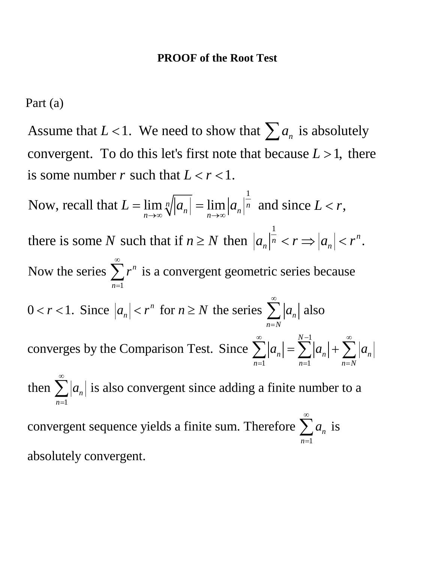Part (a)

Assume that  $L < 1$ . We need to show that  $\sum a_n$  is absolutely convergent. To do this let's first note that because  $L > 1$ , there is some number r such that  $L < r < 1$ .

1 Now, recall that  $L = \lim_{n \to \infty} \sqrt[n]{|a_n|} = \lim_{n \to \infty} |a_n|^n$  and sin  $\lim_{n\to\infty}$   $\sqrt{|\alpha_n|}$  -  $\lim_{n\to\infty}$   $|\alpha_n|$  $L = \lim_{n \to \infty} \sqrt[n]{|a_n|} = \lim_{n \to \infty} |a_n|$  $\rightarrow \infty$  V  $\vert$   $n \vert$   $n \rightarrow \infty$  $=\lim_{n} \sqrt[n]{|a_n|} = \lim_{n} |a_n|$  and since  $L < r$ , 1 there is some N such that if  $n \geq N$  then  $|a_n|^{\overline{n}} < r \Rightarrow |a_n| < r^n$ . *N* such that if  $n \geq N$  then  $|a_n|^n < r \Rightarrow |a_n| < r$ 1 1  $n=1$ 1 Now the series  $\sum r^n$  is a convergent geometric series because  $0 < r < 1$ . Since  $|a_n| < r^n$  for  $n \ge N$  the series  $\sum |a_n|$  also converges by the Comparison Test. Since then  $\sum |a_n|$  is also *n*  $n \mid N$  for  $n \leq N$  and series  $\sum_{n} a_n$  $n = N$ *N*  $n - \sum |a_n| + \sum |a_n|$  $n=1$   $n=1$   $n=N$ *n r*  $r < 1$ . Since  $|a_n| < r^n$  for  $n \ge N$  the series  $\sum |a_n|$  $a_n = \sum |a_n| + \sum |a_n|$ *a* ∞ = ∞ = ∞  $N-1$  ∞  $=1$   $n=1$   $n=$ ∞ =  $\langle r \rangle < 1$ . Since  $|a_n| < r^n$  for  $n \geq N$  the series  $\sum$  $\sum |a_n| = \sum |a_n| + \sum$ ∑  $\sum |a_n|$  is also convergent since adding a finite number to a 1 convergent sequence yields a finite sum. Therefore  $\sum a_n$  is absolutely convergent. *n a* ∞ = ∑